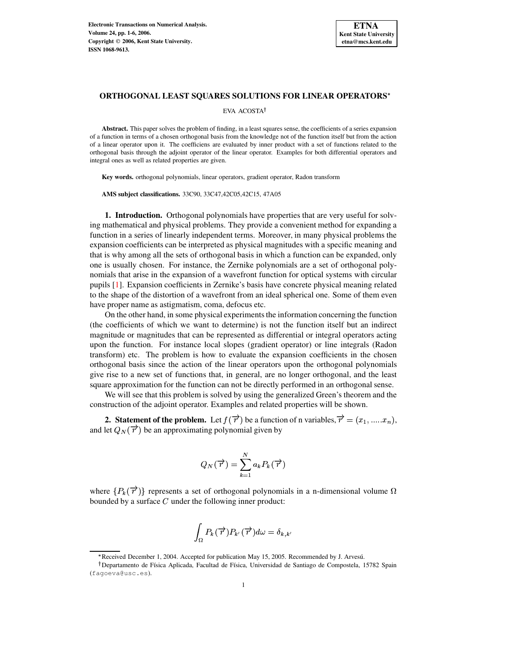

#### **ORTHOGONAL LEAST SQUARES SOLUTIONS FOR LINEAR OPERATORS**

EVA ACOSTA

**Abstract.** This paper solves the problem of finding, in a least squares sense, the coefficients of a series expansion of a function in terms of a chosen orthogonal basis from the knowledge not of the function itself but from the action of a linear operator upon it. The coefficiens are evaluated by inner product with a set of functions related to the orthogonal basis through the adjoint operator of the linear operator. Examples for both differential operators and integral ones as well as related properties are given.

**Key words.** orthogonal polynomials, linear operators, gradient operator, Radon transform

**AMS subject classifications.** 33C90, 33C47,42C05,42C15, 47A05

**1. Introduction.** Orthogonal polynomials have properties that are very useful for solving mathematical and physical problems. They provide a convenient method for expanding a function in a series of linearly independent terms. Moreover, in many physical problems the expansion coefficients can be interpreted as physical magnitudes with a specific meaning and that is why among all the sets of orthogonal basis in which a function can be expanded, only one is usually chosen. For instance, the Zernike polynomials are a set of orthogonal polynomials that arise in the expansion of a wavefront function for optical systems with circular pupils [\[1\]](#page-5-0). Expansion coefficients in Zernike's basis have concrete physical meaning related to the shape of the distortion of a wavefront from an ideal spherical one. Some of them even have proper name as astigmatism, coma, defocus etc.

On the other hand, in some physical experiments the information concerning the function (the coefficients of which we want to determine) is not the function itself but an indirect magnitude or magnitudes that can be represented as differential or integral operators acting upon the function. For instance local slopes (gradient operator) or line integrals (Radon transform) etc. The problem is how to evaluate the expansion coefficients in the chosen orthogonal basis since the action of the linear operators upon the orthogonal polynomials give rise to a new set of functions that, in general, are no longer orthogonal, and the least square approximation for the function can not be directly performed in an orthogonal sense.

We will see that this problem is solved by using the generalized Green's theorem and the construction of the adjoint operator. Examples and related properties will be shown.

**2.** Statement of the problem. Let  $f(\vec{r})$  be a function of n variables,  $\vec{r} = (x_1, \dots, x_n)$ , and let  $Q_N(\vec{r})$  be an approximating polynomial given by

$$
Q_N(\overrightarrow{r})=\sum_{k=1}^N a_k P_k(\overrightarrow{r})
$$

where  $\{P_k(\vec{r})\}$  represents a set of orthogonal polynomials in a n-dimensional volume  $\Omega$ bounded by a surface  $C$  under the following inner product:

$$
\int_{\Omega} P_k(\overrightarrow{r}) P_{k'}(\overrightarrow{r}) d\omega = \delta_{k,k'}
$$

<sup>:</sup> Received December 1, 2004. Accepted for publication May 15, 2005. Recommended by J. Arvesu.´

<sup>&</sup>lt;sup>†</sup>Departamento de Física Aplicada, Facultad de Física, Universidad de Santiago de Compostela, 15782 Spain (fagoeva@usc.es).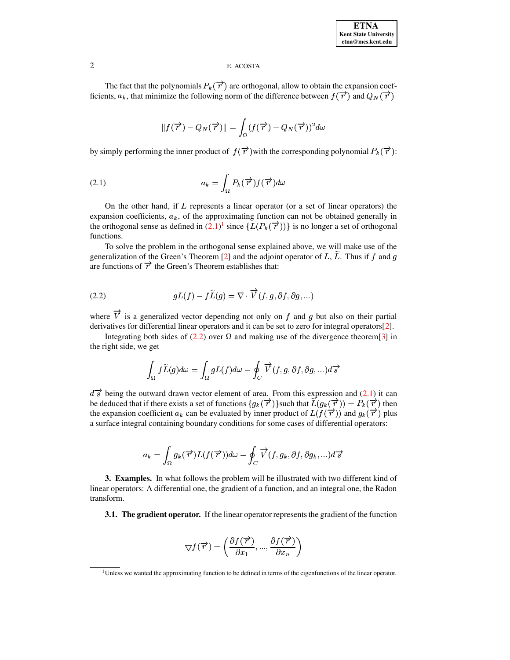## 2 E. ACOSTA

The fact that the polynomials  $P_k(\vec{r})$  are orthogonal, allow to obtain the expansion coefficients,  $a_k$ , that minimize the following norm of the difference between  $f(\vec{r})$  and  $Q_N(\vec{r})$ 

$$
\|f(\overrightarrow{r})-Q_N(\overrightarrow{r})\|=\int_\Omega(f(\overrightarrow{r})-Q_N(\overrightarrow{r}))^2d\omega
$$

<span id="page-1-0"></span>by simply performing the inner product of  $f(\vec{r})$  with the corresponding polynomial  $P_k(\vec{r})$ :

(2.1) 
$$
a_k = \int_{\Omega} P_k(\vec{\tau}) f(\vec{\tau}) d\omega
$$

On the other hand, if  $L$  represents a linear operator (or a set of linear operators) the expansion coefficients,  $a_k$ , of the approximating function can not be obtained generally in the orthogonal sense as defined in  $(2.1)^1$  $(2.1)^1$  $(2.1)^1$  since  $\{L(P_k(\vec{\tau}))\}$  is no longer a set of orthogonal functions.

<span id="page-1-2"></span>To solve the problem in the orthogonal sense explained above, we will make use of the generalization of the Green's Theorem [\[2\]](#page-5-1) and the adjoint operator of L, L. Thus if f and g are functions of  $\overrightarrow{r}$  the Green's Theorem establishes that:

(2.2) 
$$
gL(f) - f\widetilde{L}(g) = \nabla \cdot \overrightarrow{V}(f, g, \partial f, \partial g, ...)
$$

where  $\overrightarrow{V}$  is a generalized vector depending not only on f and g but also on their partial derivatives for differential linear operators and it can be set to zero for integral operators[\[2\]](#page-5-1).

Integrating both sides of [\(2.2\)](#page-1-2) over  $\Omega$  and making use of the divergence theorem [\[3\]](#page-5-2) in the right side, we get

$$
\int_{\Omega} f\widetilde{L}(g) d\omega = \int_{\Omega} gL(f) d\omega - \oint_{C} \overrightarrow{V}(f,g,\partial f,\partial g,...) d\overrightarrow{s}
$$

 $d\vec{s}$  being the outward drawn vector element of area. From this expression and [\(2.1\)](#page-1-0) it can be deduced that if there exists a set of functions  $\{g_k(\vec{r})\}$ such that  $\widetilde{L}(g_k(\vec{r})) = P_k(\vec{r})$  then the expansion coefficient  $a_k$  can be evaluated by inner product of  $L(f(\vec{r}))$  and  $g_k(\vec{r})$  plus a surface integral containing boundary conditions for some cases of differential operators:

$$
a_k = \int_{\Omega} g_k(\overrightarrow{r}) L(f(\overrightarrow{r})) d\omega - \oint_C \overrightarrow{V}(f, g_k, \partial f, \partial g_k, \ldots) d\overrightarrow{s}
$$

**3. Examples.** In what follows the problem will be illustrated with two different kind of linear operators: A differential one, the gradient of a function, and an integral one, the Radon transform.

**3.1. The gradient operator.** If the linear operator represents the gradient of the function

$$
\bigtriangledown f(\overrightarrow{r})=\left(\frac{\partial f(\overrightarrow{r})}{\partial x_{1}},...,\frac{\partial f(\overrightarrow{r})}{\partial x_{n}}\right)
$$

<span id="page-1-1"></span><sup>&</sup>lt;sup>1</sup>Unless we wanted the approximating function to be defined in terms of the eigenfunctions of the linear operator.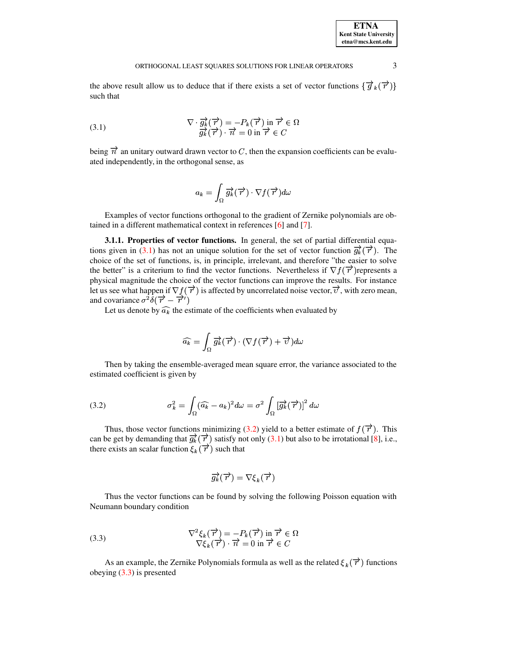#### ORTHOGONAL LEAST SOUARES SOLUTIONS FOR LINEAR OPERATORS 3

<span id="page-2-0"></span>the above result allow us to deduce that if there exists a set of vector functions  $\{\vec{g}_k(\vec{r})\}$ such that

(3.1) 
$$
\nabla \cdot \frac{\partial}{\partial k} (\overrightarrow{r}) = -P_k(\overrightarrow{r}) \text{ in } \overrightarrow{r} \in \Omega
$$

$$
\frac{\partial}{\partial k} (\overrightarrow{r}) \cdot \overrightarrow{n} = 0 \text{ in } \overrightarrow{r} \in C
$$

being  $\vec{n}$  an unitary outward drawn vector to C, then the expansion coefficients can be evaluated independently, in the orthogonal sense, as

$$
a_k=\int_\Omega\overrightarrow{g_k}(\overrightarrow{r})\cdot\nabla f(\overrightarrow{r})d\omega
$$

Examples of vector functions orthogonal to the gradient of Zernike polynomials are obtained in a different mathematical context in references [\[6\]](#page-5-3) and [\[7\]](#page-5-4).

**3.1.1. Properties of vector functions.** In general, the set of partial differential equa-tions given in [\(3.1\)](#page-2-0) has not an unique solution for the set of vector function  $\vec{g}_k(\vec{r})$ . The choice of the set of functions, is, in principle, irrelevant, and therefore "the easier to solve the better" is a criterium to find the vector functions. Nevertheless if  $\nabla f(\vec{r})$  represents a physical magnitude the choice of the vector functions can improve the results. For instance let us see what happen if  $\nabla f(\overrightarrow{r})$  is affected by uncorrelated noise vector,  $\overrightarrow{v}$ , with zero mean, and covariance  $\sigma^2 \delta(\vec{r} - \vec{r}')$ 

Let us denote by  $\widehat{a_k}$  the estimate of the coefficients when evaluated by

$$
\widehat{a_k} = \int_{\Omega} \overrightarrow{g_k}(\overrightarrow{r}) \cdot (\nabla f(\overrightarrow{r}) + \overrightarrow{v}) d\omega
$$

<span id="page-2-1"></span>Then by taking the ensemble-averaged mean square error, the variance associated to the estimated coefficient is given by

(3.2) 
$$
\sigma_k^2 = \int_{\Omega} (\widehat{a_k} - a_k)^2 d\omega = \sigma^2 \int_{\Omega} \left[ \overrightarrow{g_k} (\overrightarrow{r}) \right]^2 d\omega
$$

Thus, those vector functions minimizing [\(3.2\)](#page-2-1) yield to a better estimate of  $f(\vec{r})$ . This can be get by demanding that  $\overrightarrow{g_k}(\overrightarrow{r})$  satisfy not only [\(3.1\)](#page-2-0) but also to be irrotational [\[8\]](#page-5-5), i.e., there exists an scalar function  $\xi_k(\vec{r})$  such that

$$
\overrightarrow{g_k}(\overrightarrow{r})=\nabla \xi_k(\overrightarrow{r})
$$

<span id="page-2-2"></span>Thus the vector functions can be found by solving the following Poisson equation with Neumann boundary condition

(3.3) 
$$
\nabla^2 \xi_k(\vec{r}) = -P_k(\vec{r}) \text{ in } \vec{r} \in \Omega \n\nabla \xi_k(\vec{r}) \cdot \vec{n} = 0 \text{ in } \vec{r} \in C
$$

As an example, the Zernike Polynomials formula as well as the related  $\xi_k(\vec{r})$  functions obeying [\(3.3\)](#page-2-2) is presented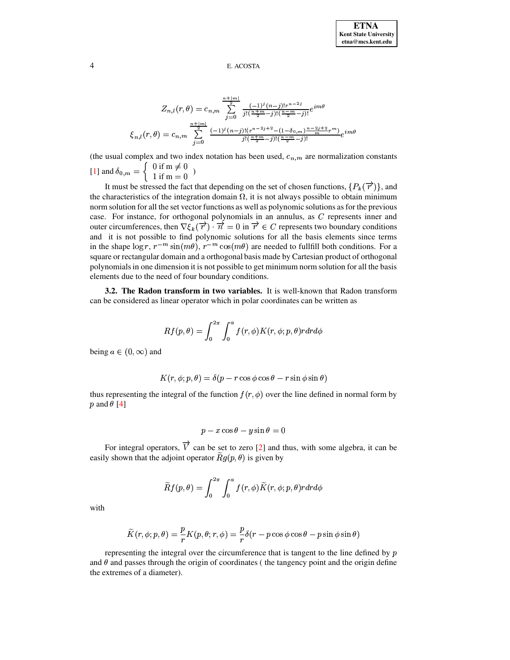## 4 E. ACOSTA

$$
Z_{n,l}(r,\theta) = c_{n,m} \sum_{j=0}^{\frac{n+|m|}{2}} \frac{(-1)^j (n-j)! r^{n-2j}}{j! (\frac{n+m}{2} - j)! (\frac{n-m}{2} - j)!} e^{im\theta}
$$
  

$$
\xi_{n,l}(r,\theta) = c_{n,m} \sum_{j=0}^{\frac{n+|m|}{2}} \frac{(-1)^j (n-j)! (r^{n-2j+2} - (1-\delta_{0,m}) \frac{n-2j+2}{m} r^m)}{j! (\frac{n+m}{2} - j)! (\frac{n-m}{2} - j)!} e^{im\theta}
$$

(the usual complex and two index notation has been used,  $c_{n,m}$  are normalization constants [\[1\]](#page-5-0) and  $\delta_{0,m} = \begin{cases} 0 \text{ if } m \neq 0 \\ 1 \text{ if } m = 0 \end{cases}$ )

It must be stressed the fact that depending on the set of chosen functions,  $\{P_k(\vec{r})\}\$ , and the characteristics of the integration domain  $\Omega$ , it is not always possible to obtain minimum norm solution for all the set vector functions as well as polynomic solutions as for the previous case. For instance, for orthogonal polynomials in an annulus, as  $C$  represents inner and outer circumferences, then  $\nabla \xi_k(\vec{r}) \cdot \vec{n} = 0$  in  $\vec{r} \in C$  represents two boundary conditions and it is not possible to find polynomic solutions for all the basis elements since terms in the shape  $\log r$ ,  $r^{-m} \sin(m\theta)$ ,  $r^{-m} \cos(m\theta)$  are square or rectangular domain and a orthogonal basis made by Cartesian product of orthogonal  $(m\theta)$  are needed to fullfill both conditions. For a polynomialsin one dimension it is not possible to get minimum norm solution for all the basis elements due to the need of four boundary conditions.

**3.2. The Radon transform in two variables.** It is well-known that Radon transform can be considered as linear operator which in polar coordinates can be written as

$$
Rf(p,\theta)=\int_0^{2\pi}\int_0^a f(r,\phi)K(r,\phi;p,\theta) r dr d\phi
$$

being  $a \in (0, \infty)$  and  $(0, \infty)$  and

$$
K(r, \phi; p, \theta) = \delta(p - r \cos \phi \cos \theta - r \sin \phi \sin \theta)
$$

thus representing the integral of the function  $f(r, \phi)$  over the line defined in normal form by  $p$  and  $\theta$  [\[4\]](#page-5-6)

$$
p - x\cos\theta - y\sin\theta = 0
$$

For integral operators,  $\overrightarrow{V}$  can be set to zero [\[2\]](#page-5-1) and thus, with some algebra, it can be easily shown that the adjoint operator  $\widetilde{R}g(p, \theta)$  is given by

$$
\widetilde{R}f(p,\theta)=\int_0^{2\pi}\int_0^a f(r,\phi)\widetilde{K}(r,\phi;p,\theta) r dr d\phi
$$

with

$$
\widetilde{K}(r,\phi;p,\theta) = \frac{p}{r}K(p,\theta;r,\phi) = \frac{p}{r}\delta(r-p\cos\phi\cos\theta - p\sin\phi\sin\theta)
$$

representing the integral over the circumference that is tangent to the line defined by  $p$ and  $\theta$  and passes through the origin of coordinates (the tangency point and the origin define the extremes of a diameter).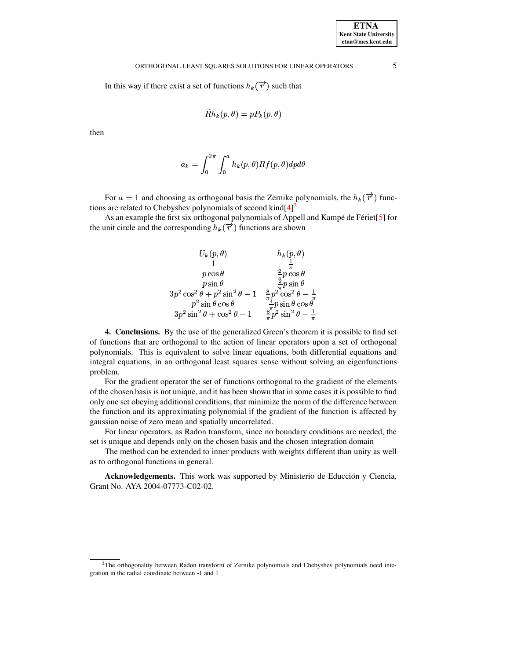## ORTHOGONAL LEAST SQUARES SOLUTIONS FOR LINEAR OPERATORS 5

In this way if there exist a set of functions  $h_k(\vec{r})$  such that

$$
\widetilde R h_{\bm{k}}(p,\theta) = p P_{\bm{k}}(p,\theta)
$$

then

$$
a_k=\int_0^{2\pi}\int_0^a h_k(p,\theta)Rf(p,\theta)dpd\theta
$$

For  $a = 1$  and choosing as orthogonal basis the Zernike polynomials, the  $h_k(\vec{r})$  func-<br>care related to Chebyshey polynomials of second kind[4]<sup>2</sup> tions are related to Chebyshev polynomials of second kind $[4]^2$  $[4]^2$  $[4]^2$ 

As an example the first six orthogonal polynomials of Appell and Kampé de Fériet[[5\]](#page-5-7) for the unit circle and the corresponding  $h_k(\vec{r})$  functions are shown

$$
U_k(p, \theta) \qquad h_k(p, \theta)
$$
  
\n
$$
\begin{array}{ccc}\n & h_k(p, \theta) \\
1 & \frac{1}{\pi} \\
p \cos \theta & \frac{2}{\pi} p \cos \theta \\
p \sin \theta & \frac{2}{\pi} p \sin \theta \\
3p^2 \cos^2 \theta + p^2 \sin^2 \theta - 1 & \frac{8}{\pi} p^2 \cos^2 \theta - \frac{1}{\pi} \\
p^2 \sin \theta \cos \theta & \frac{4}{\pi} p \sin \theta \cos \theta \\
3p^2 \sin^2 \theta + \cos^2 \theta - 1 & \frac{8}{\pi} p^2 \sin^2 \theta - \frac{1}{\pi}\n\end{array}
$$

**4. Conclusions.** By the use of the generalized Green's theorem it is possible to find set of functions that are orthogonal to the action of linear operators upon a set of orthogonal polynomials. This is equivalent to solve linear equations, both differential equations and integral equations, in an orthogonal least squares sense without solving an eigenfunctions problem.

For the gradient operator the set of functions orthogonal to the gradient of the elements of the chosen basis is not unique, and it has been shown that in some cases it is possible to find only one set obeying additional conditions, that minimize the norm of the difference between the function and its approximating polynomial if the gradient of the function is affected by gaussian noise of zero mean and spatially uncorrelated.

For linear operators, as Radon transform, since no boundary conditions are needed, the set is unique and depends only on the chosen basis and the chosen integration domain

The method can be extended to inner products with weights different than unity as well as to orthogonal functions in general.

Acknowledgements. This work was supported by Ministerio de Educción y Ciencia, Grant No. AYA 2004-07773-C02-02.

<span id="page-4-0"></span><sup>&</sup>lt;sup>2</sup>The orthogonality between Radon transform of Zernike polynomials and Chebyshev polynomials need integration in the radial coordinate between -1 and 1